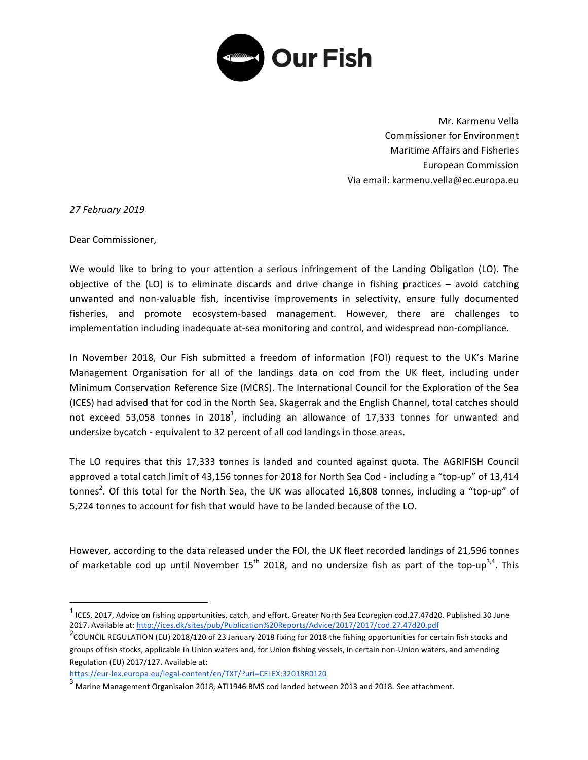

Mr. Karmenu Vella Commissioner for Environment Maritime Affairs and Fisheries European Commission Via email: karmenu.vella@ec.europa.eu

*27 February 2019*

Dear Commissioner,

We would like to bring to your attention a serious infringement of the Landing Obligation (LO). The objective of the  $(LO)$  is to eliminate discards and drive change in fishing practices  $-$  avoid catching unwanted and non-valuable fish, incentivise improvements in selectivity, ensure fully documented fisheries, and promote ecosystem-based management. However, there are challenges to implementation including inadequate at-sea monitoring and control, and widespread non-compliance.

In November 2018, Our Fish submitted a freedom of information (FOI) request to the UK's Marine Management Organisation for all of the landings data on cod from the UK fleet, including under Minimum Conservation Reference Size (MCRS). The International Council for the Exploration of the Sea (ICES) had advised that for cod in the North Sea, Skagerrak and the English Channel, total catches should not exceed 53,058 tonnes in 2018<sup>1</sup>, including an allowance of 17,333 tonnes for unwanted and undersize bycatch - equivalent to 32 percent of all cod landings in those areas.

The LO requires that this 17,333 tonnes is landed and counted against quota. The AGRIFISH Council approved a total catch limit of 43,156 tonnes for 2018 for North Sea Cod - including a "top-up" of 13,414 tonnes<sup>2</sup>. Of this total for the North Sea, the UK was allocated 16,808 tonnes, including a "top-up" of 5,224 tonnes to account for fish that would have to be landed because of the LO.

However, according to the data released under the FOI, the UK fleet recorded landings of 21,596 tonnes of marketable cod up until November  $15^{th}$  2018, and no undersize fish as part of the top-up<sup>3,4</sup>. This

https://eur-lex.europa.eu/legal-content/en/TXT/?uri=CELEX:32018R0120

 $<sup>1</sup>$  ICES, 2017, Advice on fishing opportunities, catch, and effort. Greater North Sea Ecoregion cod.27.47d20. Published 30 June</sup> 2017. Available at: http://ices.dk/sites/pub/Publication%20Reports/Advice/2017/2017/cod.27.47d20.pdf

 $^2$ COUNCIL REGULATION (EU) 2018/120 of 23 January 2018 fixing for 2018 the fishing opportunities for certain fish stocks and groups of fish stocks, applicable in Union waters and, for Union fishing vessels, in certain non-Union waters, and amending Regulation (EU) 2017/127. Available at:

 $^3$  Marine Management Organisaion 2018, ATI1946 BMS cod landed between 2013 and 2018. See attachment.